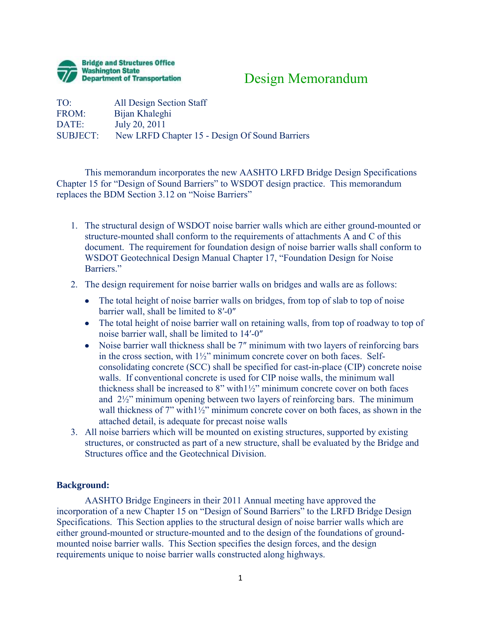

## Design Memorandum

| All Design Section Staff                       |
|------------------------------------------------|
| Bijan Khaleghi                                 |
| July 20, 2011                                  |
| New LRFD Chapter 15 - Design Of Sound Barriers |
|                                                |

This memorandum incorporates the new AASHTO LRFD Bridge Design Specifications Chapter 15 for "Design of Sound Barriers" to WSDOT design practice. This memorandum replaces the BDM Section 3.12 on "Noise Barriers"

- 1. The structural design of WSDOT noise barrier walls which are either ground-mounted or structure-mounted shall conform to the requirements of attachments A and C of this document. The requirement for foundation design of noise barrier walls shall conform to WSDOT Geotechnical Design Manual Chapter 17, "Foundation Design for Noise Barriers."
- 2. The design requirement for noise barrier walls on bridges and walls are as follows:
	- The total height of noise barrier walls on bridges, from top of slab to top of noise barrier wall, shall be limited to 8′-0″
	- The total height of noise barrier wall on retaining walls, from top of roadway to top of noise barrier wall, shall be limited to 14′-0″
	- Noise barrier wall thickness shall be 7" minimum with two layers of reinforcing bars in the cross section, with 1½" minimum concrete cover on both faces. Selfconsolidating concrete (SCC) shall be specified for cast-in-place (CIP) concrete noise walls. If conventional concrete is used for CIP noise walls, the minimum wall thickness shall be increased to 8" with1½" minimum concrete cover on both faces and  $2\frac{1}{2}$ " minimum opening between two layers of reinforcing bars. The minimum wall thickness of 7" with  $1\frac{1}{2}$ " minimum concrete cover on both faces, as shown in the attached detail, is adequate for precast noise walls
- 3. All noise barriers which will be mounted on existing structures, supported by existing structures, or constructed as part of a new structure, shall be evaluated by the Bridge and Structures office and the Geotechnical Division.

## **Background:**

 AASHTO Bridge Engineers in their 2011 Annual meeting have approved the incorporation of a new Chapter 15 on "Design of Sound Barriers" to the LRFD Bridge Design Specifications. This Section applies to the structural design of noise barrier walls which are either ground-mounted or structure-mounted and to the design of the foundations of groundmounted noise barrier walls. This Section specifies the design forces, and the design requirements unique to noise barrier walls constructed along highways.